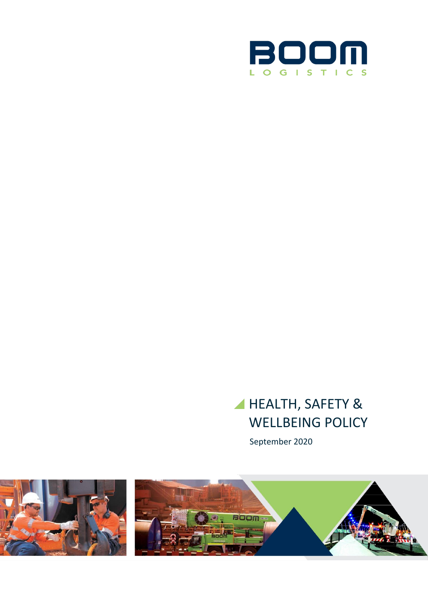

# HEALTH, SAFETY & WELLBEING POLICY

September 2020